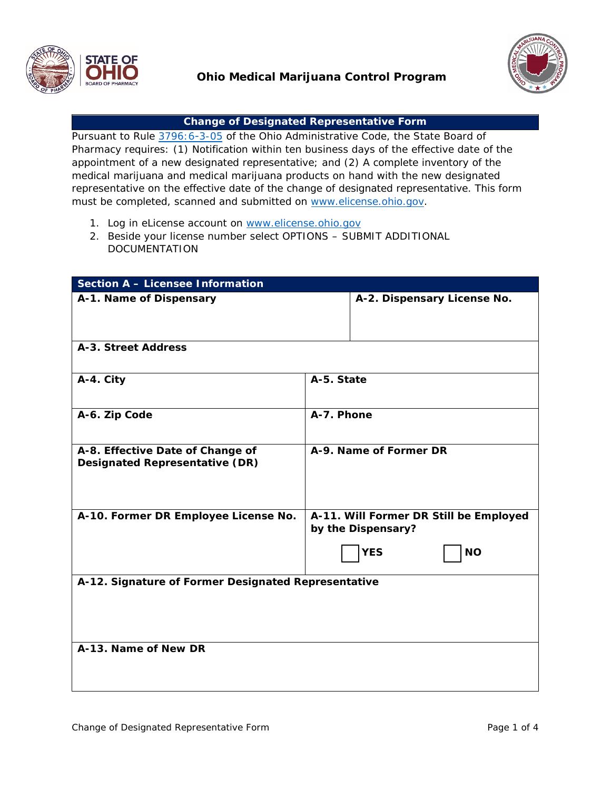



## **Change of Designated Representative Form**

Pursuant to Rule [3796:](http://codes.ohio.gov/oac/3796:6-3-05v1)6-3-05 of the Ohio Administrative Code, the State Board of Pharmacy requires: (1) Notification within ten business days of the effective date of the appointment of a new designated representative; and (2) A complete inventory of the medical marijuana and medical marijuana products on hand with the new designated representative on the effective date of the change of designated representative. This form must be completed, scanned and [submitted](http://www.elicense.ohio.gov/) on www.elicense.ohio.gov.

- 1. Log in eLicense account on [www.elicense.ohio.gov](http://www.elicense.ohio.gov/)
- 2. Beside your license number select OPTIONS SUBMIT ADDITIONAL DOCUMENTATION

| <b>Section A - Licensee Information</b>                                   |                        |                                                              |  |  |  |
|---------------------------------------------------------------------------|------------------------|--------------------------------------------------------------|--|--|--|
| A-1. Name of Dispensary                                                   |                        | A-2. Dispensary License No.                                  |  |  |  |
| A-3. Street Address                                                       |                        |                                                              |  |  |  |
| A-4. City                                                                 |                        | A-5. State                                                   |  |  |  |
| A-6. Zip Code                                                             | A-7. Phone             |                                                              |  |  |  |
| A-8. Effective Date of Change of<br><b>Designated Representative (DR)</b> | A-9. Name of Former DR |                                                              |  |  |  |
| A-10. Former DR Employee License No.                                      |                        | A-11. Will Former DR Still be Employed<br>by the Dispensary? |  |  |  |
|                                                                           |                        | <b>YES</b><br><b>NO</b>                                      |  |  |  |
| A-12. Signature of Former Designated Representative                       |                        |                                                              |  |  |  |
| A-13. Name of New DR                                                      |                        |                                                              |  |  |  |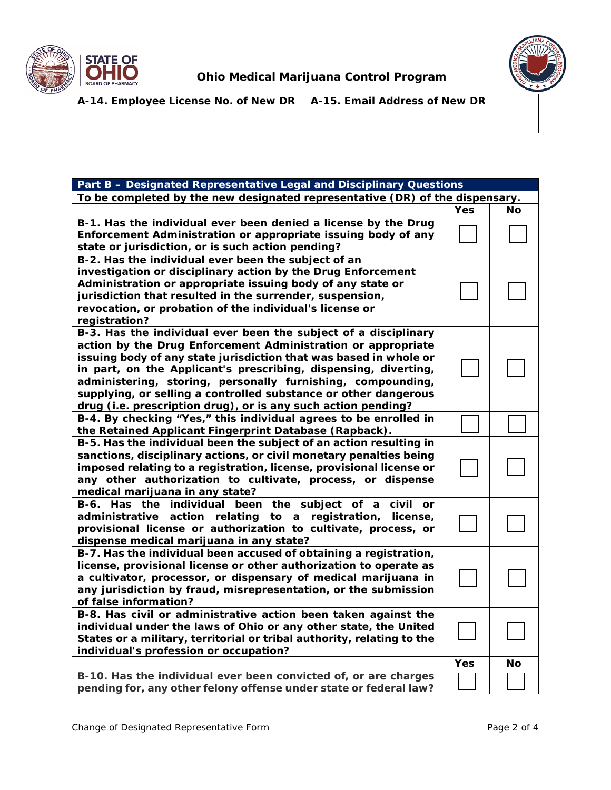



| A-14. Employee License No. of New DR $\vert$ A-15. Email Address of New DR |  |
|----------------------------------------------------------------------------|--|
|                                                                            |  |
|                                                                            |  |

| Part B - Designated Representative Legal and Disciplinary Questions                                                                                                                                                                                                                                                                                                                                                                                                        |     |    |  |  |  |  |
|----------------------------------------------------------------------------------------------------------------------------------------------------------------------------------------------------------------------------------------------------------------------------------------------------------------------------------------------------------------------------------------------------------------------------------------------------------------------------|-----|----|--|--|--|--|
| To be completed by the new designated representative (DR) of the dispensary.                                                                                                                                                                                                                                                                                                                                                                                               |     |    |  |  |  |  |
|                                                                                                                                                                                                                                                                                                                                                                                                                                                                            | Yes | No |  |  |  |  |
| B-1. Has the individual ever been denied a license by the Drug<br>Enforcement Administration or appropriate issuing body of any<br>state or jurisdiction, or is such action pending?                                                                                                                                                                                                                                                                                       |     |    |  |  |  |  |
| B-2. Has the individual ever been the subject of an<br>investigation or disciplinary action by the Drug Enforcement<br>Administration or appropriate issuing body of any state or<br>jurisdiction that resulted in the surrender, suspension,<br>revocation, or probation of the individual's license or<br>registration?                                                                                                                                                  |     |    |  |  |  |  |
| B-3. Has the individual ever been the subject of a disciplinary<br>action by the Drug Enforcement Administration or appropriate<br>issuing body of any state jurisdiction that was based in whole or<br>in part, on the Applicant's prescribing, dispensing, diverting,<br>administering, storing, personally furnishing, compounding,<br>supplying, or selling a controlled substance or other dangerous<br>drug (i.e. prescription drug), or is any such action pending? |     |    |  |  |  |  |
| B-4. By checking "Yes," this individual agrees to be enrolled in<br>the Retained Applicant Fingerprint Database (Rapback).                                                                                                                                                                                                                                                                                                                                                 |     |    |  |  |  |  |
| B-5. Has the individual been the subject of an action resulting in<br>sanctions, disciplinary actions, or civil monetary penalties being<br>imposed relating to a registration, license, provisional license or<br>any other authorization to cultivate, process, or dispense<br>medical marijuana in any state?                                                                                                                                                           |     |    |  |  |  |  |
| B-6. Has the individual been<br>the subject<br>civil<br>of<br>a<br>or<br>administrative<br>action relating<br>to a<br>registration,<br>license,<br>provisional license or authorization to cultivate, process, or<br>dispense medical marijuana in any state?                                                                                                                                                                                                              |     |    |  |  |  |  |
| B-7. Has the individual been accused of obtaining a registration,<br>license, provisional license or other authorization to operate as<br>a cultivator, processor, or dispensary of medical marijuana in<br>any jurisdiction by fraud, misrepresentation, or the submission<br>of false information?                                                                                                                                                                       |     |    |  |  |  |  |
| B-8. Has civil or administrative action been taken against the<br>individual under the laws of Ohio or any other state, the United<br>States or a military, territorial or tribal authority, relating to the<br>individual's profession or occupation?                                                                                                                                                                                                                     |     |    |  |  |  |  |
|                                                                                                                                                                                                                                                                                                                                                                                                                                                                            | Yes | No |  |  |  |  |
| B-10. Has the individual ever been convicted of, or are charges<br>pending for, any other felony offense under state or federal law?                                                                                                                                                                                                                                                                                                                                       |     |    |  |  |  |  |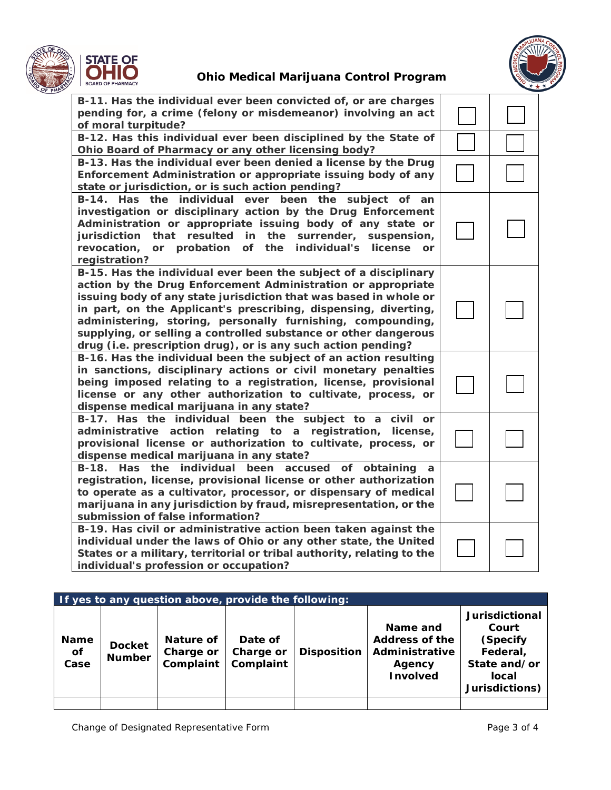



| B-11. Has the individual ever been convicted of, or are charges<br>pending for, a crime (felony or misdemeanor) involving an act<br>of moral turpitude?                                                                                                                                                                                                                                                                                                                     |  |
|-----------------------------------------------------------------------------------------------------------------------------------------------------------------------------------------------------------------------------------------------------------------------------------------------------------------------------------------------------------------------------------------------------------------------------------------------------------------------------|--|
| B-12. Has this individual ever been disciplined by the State of                                                                                                                                                                                                                                                                                                                                                                                                             |  |
| Ohio Board of Pharmacy or any other licensing body?                                                                                                                                                                                                                                                                                                                                                                                                                         |  |
| B-13. Has the individual ever been denied a license by the Drug<br>Enforcement Administration or appropriate issuing body of any<br>state or jurisdiction, or is such action pending?                                                                                                                                                                                                                                                                                       |  |
| B-14. Has the individual ever been the<br>subject of<br>an<br>investigation or disciplinary action by the Drug Enforcement<br>Administration or appropriate issuing body of any state or<br>jurisdiction that resulted in the surrender, suspension,<br>or probation<br>of the<br>individual's<br>revocation,<br>license<br><b>or</b><br>registration?                                                                                                                      |  |
| B-15. Has the individual ever been the subject of a disciplinary<br>action by the Drug Enforcement Administration or appropriate<br>issuing body of any state jurisdiction that was based in whole or<br>in part, on the Applicant's prescribing, dispensing, diverting,<br>administering, storing, personally furnishing, compounding,<br>supplying, or selling a controlled substance or other dangerous<br>drug (i.e. prescription drug), or is any such action pending? |  |
| B-16. Has the individual been the subject of an action resulting<br>in sanctions, disciplinary actions or civil monetary penalties<br>being imposed relating to a registration, license, provisional<br>license or any other authorization to cultivate, process, or<br>dispense medical marijuana in any state?                                                                                                                                                            |  |
| B-17. Has the individual been the subject to a civil or<br>administrative action relating to a registration, license,<br>provisional license or authorization to cultivate, process, or<br>dispense medical marijuana in any state?                                                                                                                                                                                                                                         |  |
| B-18. Has the individual been accused<br>of obtaining a<br>registration, license, provisional license or other authorization<br>to operate as a cultivator, processor, or dispensary of medical<br>marijuana in any jurisdiction by fraud, misrepresentation, or the<br>submission of false information?                                                                                                                                                                    |  |
| B-19. Has civil or administrative action been taken against the<br>individual under the laws of Ohio or any other state, the United<br>States or a military, territorial or tribal authority, relating to the<br>individual's profession or occupation?                                                                                                                                                                                                                     |  |

| If yes to any question above, provide the following: |                                |                                     |                                   |                    |                                                                           |                                                                                                   |
|------------------------------------------------------|--------------------------------|-------------------------------------|-----------------------------------|--------------------|---------------------------------------------------------------------------|---------------------------------------------------------------------------------------------------|
| <b>Name</b><br><b>of</b><br>Case                     | <b>Docket</b><br><b>Number</b> | Nature of<br>Charge or<br>Complaint | Date of<br>Charge or<br>Complaint | <b>Disposition</b> | Name and<br>Address of the<br>Administrative<br>Agency<br><b>Involved</b> | <b>Jurisdictional</b><br>Court<br>(Specify<br>Federal,<br>State and/or<br>local<br>Jurisdictions) |
|                                                      |                                |                                     |                                   |                    |                                                                           |                                                                                                   |